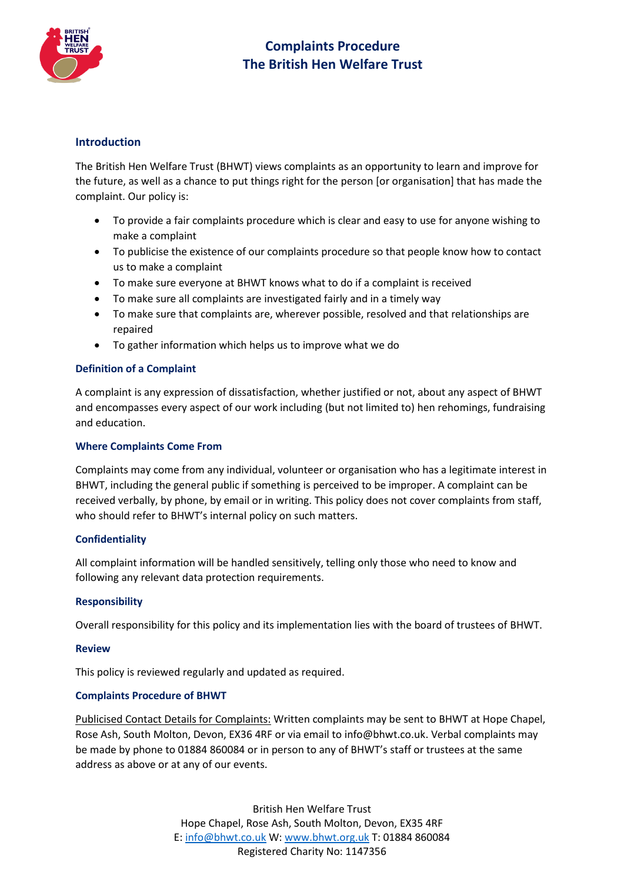

# **Complaints Procedure The British Hen Welfare Trust**

## **Introduction**

The British Hen Welfare Trust (BHWT) views complaints as an opportunity to learn and improve for the future, as well as a chance to put things right for the person [or organisation] that has made the complaint. Our policy is:

- To provide a fair complaints procedure which is clear and easy to use for anyone wishing to make a complaint
- To publicise the existence of our complaints procedure so that people know how to contact us to make a complaint
- To make sure everyone at BHWT knows what to do if a complaint is received
- To make sure all complaints are investigated fairly and in a timely way
- To make sure that complaints are, wherever possible, resolved and that relationships are repaired
- To gather information which helps us to improve what we do

## **Definition of a Complaint**

A complaint is any expression of dissatisfaction, whether justified or not, about any aspect of BHWT and encompasses every aspect of our work including (but not limited to) hen rehomings, fundraising and education.

## **Where Complaints Come From**

Complaints may come from any individual, volunteer or organisation who has a legitimate interest in BHWT, including the general public if something is perceived to be improper. A complaint can be received verbally, by phone, by email or in writing. This policy does not cover complaints from staff, who should refer to BHWT's internal policy on such matters.

## **Confidentiality**

All complaint information will be handled sensitively, telling only those who need to know and following any relevant data protection requirements.

## **Responsibility**

Overall responsibility for this policy and its implementation lies with the board of trustees of BHWT.

## **Review**

This policy is reviewed regularly and updated as required.

## **Complaints Procedure of BHWT**

Publicised Contact Details for Complaints: Written complaints may be sent to BHWT at Hope Chapel, Rose Ash, South Molton, Devon, EX36 4RF or via email to info@bhwt.co.uk. Verbal complaints may be made by phone to 01884 860084 or in person to any of BHWT's staff or trustees at the same address as above or at any of our events.

> British Hen Welfare Trust Hope Chapel, Rose Ash, South Molton, Devon, EX35 4RF E[: info@bhwt.co.uk](mailto:info@bhwt.co.uk) W[: www.bhwt.org.uk](http://www.bhwt.org.uk/) T: 01884 860084 Registered Charity No: 1147356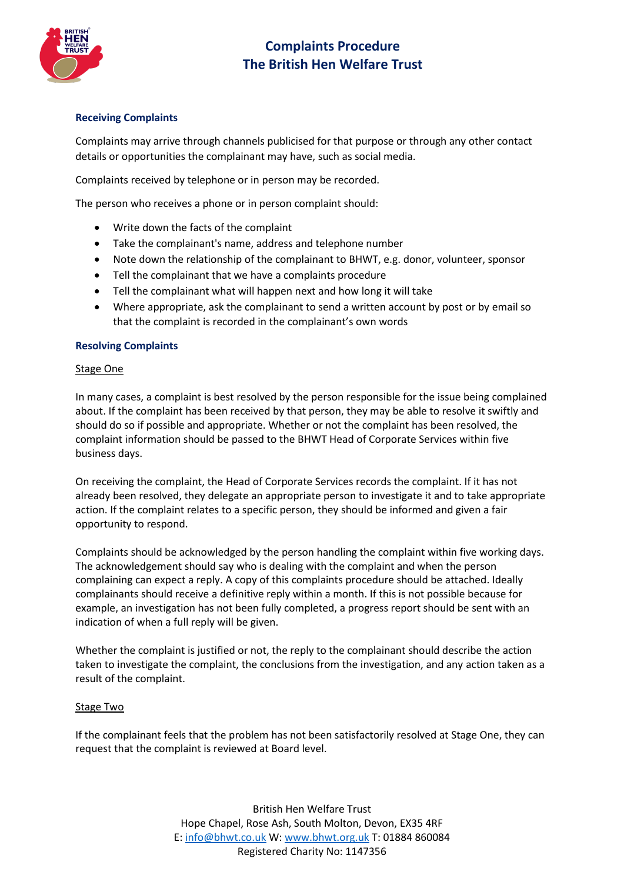

# **Complaints Procedure The British Hen Welfare Trust**

## **Receiving Complaints**

Complaints may arrive through channels publicised for that purpose or through any other contact details or opportunities the complainant may have, such as social media.

Complaints received by telephone or in person may be recorded.

The person who receives a phone or in person complaint should:

- Write down the facts of the complaint
- Take the complainant's name, address and telephone number
- Note down the relationship of the complainant to BHWT, e.g. donor, volunteer, sponsor
- Tell the complainant that we have a complaints procedure
- Tell the complainant what will happen next and how long it will take
- Where appropriate, ask the complainant to send a written account by post or by email so that the complaint is recorded in the complainant's own words

## **Resolving Complaints**

#### Stage One

In many cases, a complaint is best resolved by the person responsible for the issue being complained about. If the complaint has been received by that person, they may be able to resolve it swiftly and should do so if possible and appropriate. Whether or not the complaint has been resolved, the complaint information should be passed to the BHWT Head of Corporate Services within five business days.

On receiving the complaint, the Head of Corporate Services records the complaint. If it has not already been resolved, they delegate an appropriate person to investigate it and to take appropriate action. If the complaint relates to a specific person, they should be informed and given a fair opportunity to respond.

Complaints should be acknowledged by the person handling the complaint within five working days. The acknowledgement should say who is dealing with the complaint and when the person complaining can expect a reply. A copy of this complaints procedure should be attached. Ideally complainants should receive a definitive reply within a month. If this is not possible because for example, an investigation has not been fully completed, a progress report should be sent with an indication of when a full reply will be given.

Whether the complaint is justified or not, the reply to the complainant should describe the action taken to investigate the complaint, the conclusions from the investigation, and any action taken as a result of the complaint.

## Stage Two

If the complainant feels that the problem has not been satisfactorily resolved at Stage One, they can request that the complaint is reviewed at Board level.

> British Hen Welfare Trust Hope Chapel, Rose Ash, South Molton, Devon, EX35 4RF E[: info@bhwt.co.uk](mailto:info@bhwt.co.uk) W[: www.bhwt.org.uk](http://www.bhwt.org.uk/) T: 01884 860084 Registered Charity No: 1147356